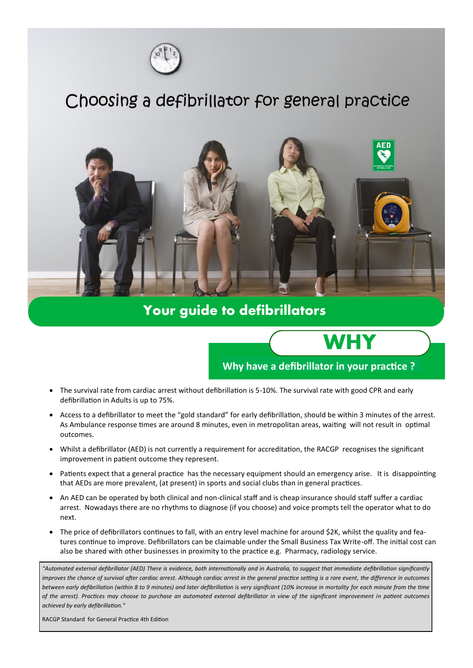

## Choosing a defibrillator for general practice



#### **Your guide to defibrillators**

### **Why have a defibrillator in your practice ?**

**WHY**

- The survival rate from cardiac arrest without defibrillation is 5-10%. The survival rate with good CPR and early defibrillation in Adults is up to 75%.
- Access to a defibrillator to meet the "gold standard" for early defibrillation, should be within 3 minutes of the arrest. As Ambulance response times are around 8 minutes, even in metropolitan areas, waiting will not result in optimal outcomes.
- Whilst a defibrillator (AED) is not currently a requirement for accreditation, the RACGP recognises the significant improvement in patient outcome they represent.
- Patients expect that a general practice has the necessary equipment should an emergency arise. It is disappointing that AEDs are more prevalent, (at present) in sports and social clubs than in general practices.
- An AED can be operated by both clinical and non-clinical staff and is cheap insurance should staff suffer a cardiac arrest. Nowadays there are no rhythms to diagnose (if you choose) and voice prompts tell the operator what to do next.
- The price of defibrillators continues to fall, with an entry level machine for around \$2K, whilst the quality and features continue to improve. Defibrillators can be claimable under the Small Business Tax Write-off. The initial cost can also be shared with other businesses in proximity to the practice e.g. Pharmacy, radiology service.

*"Automated external defibrillator (AED) There is evidence, both internationally and in Australia, to suggest that immediate defibrillation significantly*  improves the chance of survival after cardiac arrest. Although cardiac arrest in the general practice setting is a rare event, the difference in outcomes *between early defibrillation (within 8 to 9 minutes) and later defibrillation is very significant (10% increase in mortality for each minute from the time of the arrest). Practices may choose to purchase an automated external defibrillator in view of the significant improvement in patient outcomes achieved by early defibrillation."* 

RACGP Standard for General Practice 4th Edition